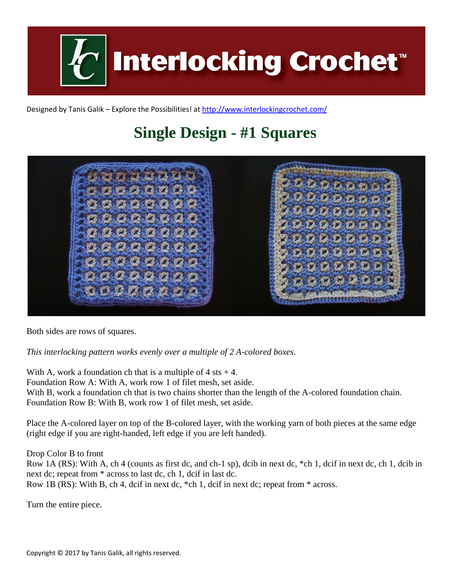

Designed by Tanis Galik – Explore the Possibilities! a[t http://www.interlockingcrochet.com/](http://www.interlockingcrochet.com/)

## **Single Design - #1 Squares**



Both sides are rows of squares.

*This interlocking pattern works evenly over a multiple of 2 A-colored boxes.*

With A, work a foundation ch that is a multiple of  $4$  sts  $+4$ . Foundation Row A: With A, work row 1 of filet mesh, set aside. With B, work a foundation ch that is two chains shorter than the length of the A-colored foundation chain. Foundation Row B: With B, work row 1 of filet mesh, set aside.

Place the A-colored layer on top of the B-colored layer, with the working yarn of both pieces at the same edge (right edge if you are right-handed, left edge if you are left handed).

Drop Color B to front

Row 1A (RS): With A, ch 4 (counts as first dc, and ch-1 sp), dcib in next dc, \*ch 1, dcif in next dc, ch 1, dcib in next dc; repeat from \* across to last dc, ch 1, dcif in last dc. Row 1B (RS): With B, ch 4, dcif in next dc, \*ch 1, dcif in next dc; repeat from \* across.

Turn the entire piece.